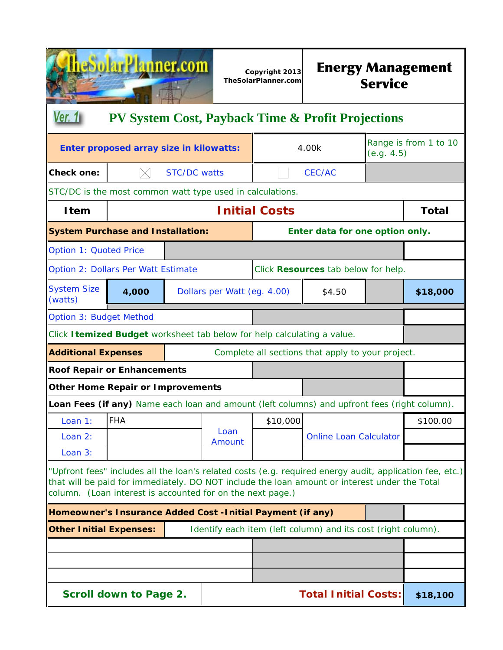| plarPlanner.com                                                                                                                                                                                                                                                                    |                                                                         |                     | Copyright 2013<br>TheSolarPlanner.com | <b>Energy Management</b><br><b>Service</b> |                                                                                              |            |                       |  |
|------------------------------------------------------------------------------------------------------------------------------------------------------------------------------------------------------------------------------------------------------------------------------------|-------------------------------------------------------------------------|---------------------|---------------------------------------|--------------------------------------------|----------------------------------------------------------------------------------------------|------------|-----------------------|--|
| Ver. 1 <sub>1</sub>                                                                                                                                                                                                                                                                |                                                                         |                     |                                       |                                            | <b>PV System Cost, Payback Time &amp; Profit Projections</b>                                 |            |                       |  |
|                                                                                                                                                                                                                                                                                    | Enter proposed array size in kilowatts:                                 |                     |                                       |                                            | 4.00k                                                                                        | (e.g. 4.5) | Range is from 1 to 10 |  |
| <b>Check one:</b>                                                                                                                                                                                                                                                                  |                                                                         | <b>STC/DC</b> watts |                                       |                                            | CEC/AC                                                                                       |            |                       |  |
|                                                                                                                                                                                                                                                                                    | STC/DC is the most common watt type used in calculations.               |                     |                                       |                                            |                                                                                              |            |                       |  |
| <b>Item</b>                                                                                                                                                                                                                                                                        |                                                                         |                     |                                       | <b>Initial Costs</b>                       |                                                                                              |            | <b>Total</b>          |  |
| <b>System Purchase and Installation:</b>                                                                                                                                                                                                                                           |                                                                         |                     |                                       | Enter data for one option only.            |                                                                                              |            |                       |  |
| <b>Option 1: Quoted Price</b>                                                                                                                                                                                                                                                      |                                                                         |                     |                                       |                                            |                                                                                              |            |                       |  |
| Option 2: Dollars Per Watt Estimate                                                                                                                                                                                                                                                |                                                                         |                     | Click Resources tab below for help.   |                                            |                                                                                              |            |                       |  |
| <b>System Size</b><br>(watts)                                                                                                                                                                                                                                                      | 4,000                                                                   |                     | Dollars per Watt (eg. 4.00)<br>\$4.50 |                                            |                                                                                              |            | \$18,000              |  |
| Option 3: Budget Method                                                                                                                                                                                                                                                            |                                                                         |                     |                                       |                                            |                                                                                              |            |                       |  |
|                                                                                                                                                                                                                                                                                    | Click Itemized Budget worksheet tab below for help calculating a value. |                     |                                       |                                            |                                                                                              |            |                       |  |
| <b>Additional Expenses</b>                                                                                                                                                                                                                                                         |                                                                         |                     |                                       |                                            | Complete all sections that apply to your project.                                            |            |                       |  |
| <b>Roof Repair or Enhancements</b>                                                                                                                                                                                                                                                 |                                                                         |                     |                                       |                                            |                                                                                              |            |                       |  |
| <b>Other Home Repair or Improvements</b>                                                                                                                                                                                                                                           |                                                                         |                     |                                       |                                            |                                                                                              |            |                       |  |
|                                                                                                                                                                                                                                                                                    |                                                                         |                     |                                       |                                            | Loan Fees (if any) Name each loan and amount (left columns) and upfront fees (right column). |            |                       |  |
| Loan 1:                                                                                                                                                                                                                                                                            | <b>FHA</b>                                                              |                     | Loan                                  | \$10,000                                   |                                                                                              |            | \$100.00              |  |
| Loan 2:                                                                                                                                                                                                                                                                            |                                                                         |                     | Amount                                |                                            | <b>Online Loan Calculator</b>                                                                |            |                       |  |
| Loan 3:<br>"Upfront fees" includes all the loan's related costs (e.g. required energy audit, application fee, etc.)<br>that will be paid for immediately. DO NOT include the loan amount or interest under the Total<br>column. (Loan interest is accounted for on the next page.) |                                                                         |                     |                                       |                                            |                                                                                              |            |                       |  |
| Homeowner's Insurance Added Cost -Initial Payment (if any)                                                                                                                                                                                                                         |                                                                         |                     |                                       |                                            |                                                                                              |            |                       |  |
| <b>Other Initial Expenses:</b><br>Identify each item (left column) and its cost (right column).                                                                                                                                                                                    |                                                                         |                     |                                       |                                            |                                                                                              |            |                       |  |
|                                                                                                                                                                                                                                                                                    |                                                                         |                     |                                       |                                            |                                                                                              |            |                       |  |
|                                                                                                                                                                                                                                                                                    |                                                                         |                     |                                       |                                            |                                                                                              |            |                       |  |
|                                                                                                                                                                                                                                                                                    |                                                                         |                     |                                       |                                            |                                                                                              |            |                       |  |
| <b>Scroll down to Page 2.</b>                                                                                                                                                                                                                                                      |                                                                         |                     |                                       |                                            | <b>Total Initial Costs:</b>                                                                  |            | \$18,100              |  |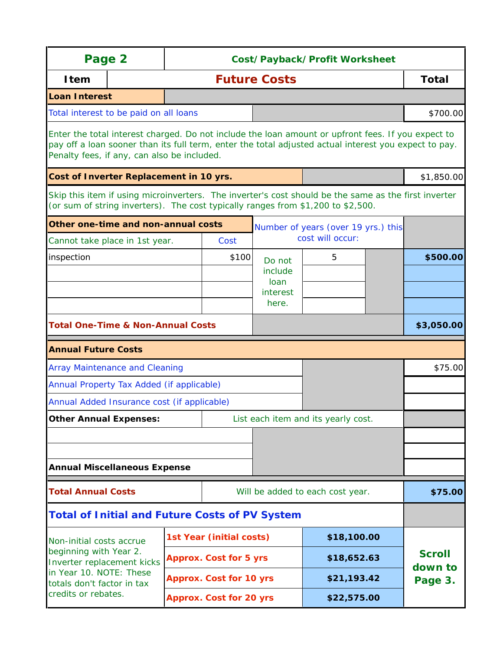| Page 2                                                                                                                                                                                                                                                     |                                         |                                | Cost/Payback/Profit Worksheet  |                 |                                                                                                                                                                                          |  |                                     |  |  |
|------------------------------------------------------------------------------------------------------------------------------------------------------------------------------------------------------------------------------------------------------------|-----------------------------------------|--------------------------------|--------------------------------|-----------------|------------------------------------------------------------------------------------------------------------------------------------------------------------------------------------------|--|-------------------------------------|--|--|
| <b>Item</b>                                                                                                                                                                                                                                                |                                         |                                | <b>Future Costs</b>            |                 |                                                                                                                                                                                          |  |                                     |  |  |
| <b>Loan Interest</b>                                                                                                                                                                                                                                       |                                         |                                |                                |                 |                                                                                                                                                                                          |  |                                     |  |  |
| Total interest to be paid on all loans                                                                                                                                                                                                                     |                                         |                                |                                |                 |                                                                                                                                                                                          |  | \$700.00                            |  |  |
| Enter the total interest charged. Do not include the loan amount or upfront fees. If you expect to<br>pay off a loan sooner than its full term, enter the total adjusted actual interest you expect to pay.<br>Penalty fees, if any, can also be included. |                                         |                                |                                |                 |                                                                                                                                                                                          |  |                                     |  |  |
|                                                                                                                                                                                                                                                            | Cost of Inverter Replacement in 10 yrs. |                                |                                |                 |                                                                                                                                                                                          |  |                                     |  |  |
|                                                                                                                                                                                                                                                            |                                         |                                |                                |                 | Skip this item if using microinverters. The inverter's cost should be the same as the first inverter<br>(or sum of string inverters). The cost typically ranges from \$1,200 to \$2,500. |  |                                     |  |  |
| Other one-time and non-annual costs                                                                                                                                                                                                                        |                                         |                                |                                |                 | Number of years (over 19 yrs.) this                                                                                                                                                      |  |                                     |  |  |
| Cannot take place in 1st year.                                                                                                                                                                                                                             |                                         |                                | Cost                           |                 | cost will occur:                                                                                                                                                                         |  |                                     |  |  |
| inspection                                                                                                                                                                                                                                                 |                                         |                                | \$100                          | Do not          | 5                                                                                                                                                                                        |  | \$500.00                            |  |  |
|                                                                                                                                                                                                                                                            |                                         |                                |                                | include<br>loan |                                                                                                                                                                                          |  |                                     |  |  |
|                                                                                                                                                                                                                                                            |                                         |                                |                                | interest        |                                                                                                                                                                                          |  |                                     |  |  |
|                                                                                                                                                                                                                                                            |                                         |                                |                                | here.           |                                                                                                                                                                                          |  |                                     |  |  |
| <b>Total One-Time &amp; Non-Annual Costs</b>                                                                                                                                                                                                               |                                         |                                |                                |                 |                                                                                                                                                                                          |  | \$3,050.00                          |  |  |
| <b>Annual Future Costs</b>                                                                                                                                                                                                                                 |                                         |                                |                                |                 |                                                                                                                                                                                          |  |                                     |  |  |
| <b>Array Maintenance and Cleaning</b>                                                                                                                                                                                                                      |                                         |                                |                                |                 |                                                                                                                                                                                          |  | \$75.00                             |  |  |
| Annual Property Tax Added (if applicable)                                                                                                                                                                                                                  |                                         |                                |                                |                 |                                                                                                                                                                                          |  |                                     |  |  |
| Annual Added Insurance cost (if applicable)                                                                                                                                                                                                                |                                         |                                |                                |                 |                                                                                                                                                                                          |  |                                     |  |  |
| <b>Other Annual Expenses:</b>                                                                                                                                                                                                                              |                                         |                                |                                |                 | List each item and its yearly cost.                                                                                                                                                      |  |                                     |  |  |
|                                                                                                                                                                                                                                                            |                                         |                                |                                |                 |                                                                                                                                                                                          |  |                                     |  |  |
|                                                                                                                                                                                                                                                            |                                         |                                |                                |                 |                                                                                                                                                                                          |  |                                     |  |  |
| <b>Annual Miscellaneous Expense</b>                                                                                                                                                                                                                        |                                         |                                |                                |                 |                                                                                                                                                                                          |  |                                     |  |  |
| <b>Total Annual Costs</b>                                                                                                                                                                                                                                  |                                         |                                |                                |                 | Will be added to each cost year.                                                                                                                                                         |  | \$75.00                             |  |  |
| <b>Total of Initial and Future Costs of PV System</b>                                                                                                                                                                                                      |                                         |                                |                                |                 |                                                                                                                                                                                          |  |                                     |  |  |
| Non-initial costs accrue                                                                                                                                                                                                                                   |                                         | 1st Year (initial costs)       |                                | \$18,100.00     |                                                                                                                                                                                          |  |                                     |  |  |
| beginning with Year 2.<br>Inverter replacement kicks                                                                                                                                                                                                       |                                         |                                | <b>Approx. Cost for 5 yrs</b>  | \$18,652.63     |                                                                                                                                                                                          |  | <b>Scroll</b><br>down to<br>Page 3. |  |  |
| in Year 10. NOTE: These<br>totals don't factor in tax                                                                                                                                                                                                      |                                         |                                | <b>Approx. Cost for 10 yrs</b> |                 | \$21,193.42                                                                                                                                                                              |  |                                     |  |  |
| credits or rebates.                                                                                                                                                                                                                                        |                                         | <b>Approx. Cost for 20 yrs</b> |                                |                 | \$22,575.00                                                                                                                                                                              |  |                                     |  |  |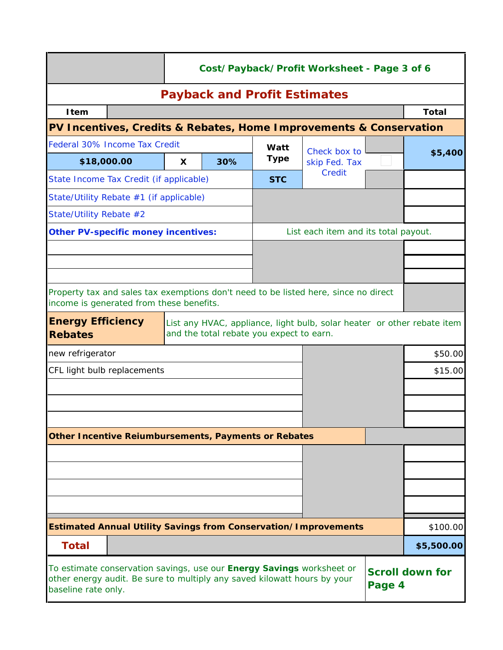|                                                                                                                                                                                                                     |                                     | Cost/Payback/Profit Worksheet - Page 3 of 6 |                                          |              |                                                                                     |          |            |         |  |  |
|---------------------------------------------------------------------------------------------------------------------------------------------------------------------------------------------------------------------|-------------------------------------|---------------------------------------------|------------------------------------------|--------------|-------------------------------------------------------------------------------------|----------|------------|---------|--|--|
|                                                                                                                                                                                                                     | <b>Payback and Profit Estimates</b> |                                             |                                          |              |                                                                                     |          |            |         |  |  |
| <b>I</b> tem                                                                                                                                                                                                        |                                     |                                             |                                          |              |                                                                                     |          | Total      |         |  |  |
|                                                                                                                                                                                                                     |                                     |                                             |                                          |              | PV Incentives, Credits & Rebates, Home Improvements & Conservation                  |          |            |         |  |  |
| Federal 30% Income Tax Credit                                                                                                                                                                                       |                                     |                                             | Watt                                     | Check box to |                                                                                     |          |            |         |  |  |
| \$18,000.00                                                                                                                                                                                                         |                                     | X                                           | 30%                                      | <b>Type</b>  | skip Fed. Tax                                                                       |          |            | \$5,400 |  |  |
| State Income Tax Credit (if applicable)                                                                                                                                                                             |                                     |                                             |                                          | <b>STC</b>   | Credit                                                                              |          |            |         |  |  |
| State/Utility Rebate #1 (if applicable)                                                                                                                                                                             |                                     |                                             |                                          |              |                                                                                     |          |            |         |  |  |
| State/Utility Rebate #2                                                                                                                                                                                             |                                     |                                             |                                          |              |                                                                                     |          |            |         |  |  |
| <b>Other PV-specific money incentives:</b>                                                                                                                                                                          |                                     |                                             |                                          |              | List each item and its total payout.                                                |          |            |         |  |  |
|                                                                                                                                                                                                                     |                                     |                                             |                                          |              |                                                                                     |          |            |         |  |  |
|                                                                                                                                                                                                                     |                                     |                                             |                                          |              |                                                                                     |          |            |         |  |  |
|                                                                                                                                                                                                                     |                                     |                                             |                                          |              |                                                                                     |          |            |         |  |  |
| income is generated from these benefits.                                                                                                                                                                            |                                     |                                             |                                          |              | Property tax and sales tax exemptions don't need to be listed here, since no direct |          |            |         |  |  |
| <b>Energy Efficiency</b>                                                                                                                                                                                            |                                     |                                             |                                          |              | List any HVAC, appliance, light bulb, solar heater or other rebate item             |          |            |         |  |  |
| <b>Rebates</b>                                                                                                                                                                                                      |                                     |                                             | and the total rebate you expect to earn. |              |                                                                                     |          |            |         |  |  |
| new refrigerator                                                                                                                                                                                                    |                                     |                                             |                                          |              |                                                                                     |          | \$50.00    |         |  |  |
| CFL light bulb replacements                                                                                                                                                                                         |                                     |                                             |                                          |              |                                                                                     |          | \$15.00    |         |  |  |
|                                                                                                                                                                                                                     |                                     |                                             |                                          |              |                                                                                     |          |            |         |  |  |
|                                                                                                                                                                                                                     |                                     |                                             |                                          |              |                                                                                     |          |            |         |  |  |
|                                                                                                                                                                                                                     |                                     |                                             |                                          |              |                                                                                     |          |            |         |  |  |
| <b>Other Incentive Reiumbursements, Payments or Rebates</b>                                                                                                                                                         |                                     |                                             |                                          |              |                                                                                     |          |            |         |  |  |
|                                                                                                                                                                                                                     |                                     |                                             |                                          |              |                                                                                     |          |            |         |  |  |
|                                                                                                                                                                                                                     |                                     |                                             |                                          |              |                                                                                     |          |            |         |  |  |
|                                                                                                                                                                                                                     |                                     |                                             |                                          |              |                                                                                     |          |            |         |  |  |
|                                                                                                                                                                                                                     |                                     |                                             |                                          |              |                                                                                     |          |            |         |  |  |
| <b>Estimated Annual Utility Savings from Conservation/Improvements</b>                                                                                                                                              |                                     |                                             |                                          |              |                                                                                     | \$100.00 |            |         |  |  |
| <b>Total</b>                                                                                                                                                                                                        |                                     |                                             |                                          |              |                                                                                     |          | \$5,500.00 |         |  |  |
| To estimate conservation savings, use our <b>Energy Savings</b> worksheet or<br><b>Scroll down for</b><br>other energy audit. Be sure to multiply any saved kilowatt hours by your<br>Page 4<br>baseline rate only. |                                     |                                             |                                          |              |                                                                                     |          |            |         |  |  |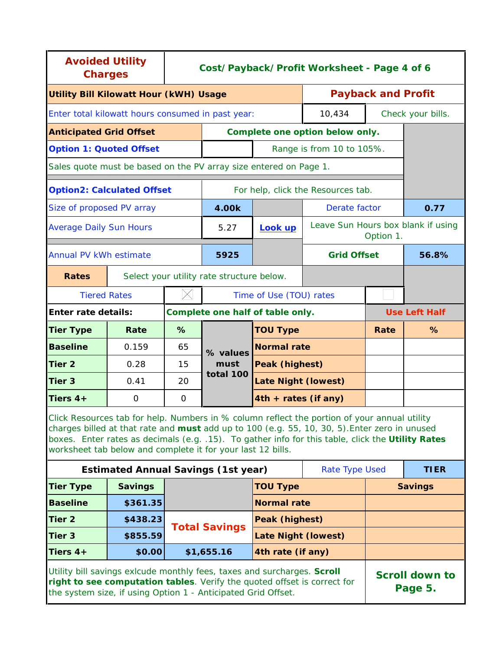| <b>Avoided Utility</b><br><b>Charges</b>                                                                                                                                                                                                                                                                                                                          |                                            | Cost/Payback/Profit Worksheet - Page 4 of 6 |                                           |                                    |                                 |                           |                                    |
|-------------------------------------------------------------------------------------------------------------------------------------------------------------------------------------------------------------------------------------------------------------------------------------------------------------------------------------------------------------------|--------------------------------------------|---------------------------------------------|-------------------------------------------|------------------------------------|---------------------------------|---------------------------|------------------------------------|
| <b>Utility Bill Kilowatt Hour (kWH) Usage</b>                                                                                                                                                                                                                                                                                                                     |                                            |                                             |                                           |                                    |                                 | <b>Payback and Profit</b> |                                    |
| Enter total kilowatt hours consumed in past year:                                                                                                                                                                                                                                                                                                                 |                                            |                                             |                                           |                                    | 10,434                          |                           | Check your bills.                  |
| <b>Anticipated Grid Offset</b>                                                                                                                                                                                                                                                                                                                                    |                                            |                                             |                                           |                                    | Complete one option below only. |                           |                                    |
| <b>Option 1: Quoted Offset</b>                                                                                                                                                                                                                                                                                                                                    |                                            |                                             |                                           |                                    | Range is from 10 to 105%.       |                           |                                    |
| Sales quote must be based on the PV array size entered on Page 1.                                                                                                                                                                                                                                                                                                 |                                            |                                             |                                           |                                    |                                 |                           |                                    |
| <b>Option2: Calculated Offset</b>                                                                                                                                                                                                                                                                                                                                 |                                            |                                             |                                           | For help, click the Resources tab. |                                 |                           |                                    |
| Size of proposed PV array                                                                                                                                                                                                                                                                                                                                         |                                            |                                             | 4.00k                                     |                                    | Derate factor                   |                           | 0.77                               |
| <b>Average Daily Sun Hours</b>                                                                                                                                                                                                                                                                                                                                    |                                            |                                             | 5.27                                      | Look up                            |                                 | Option 1.                 | Leave Sun Hours box blank if using |
| Annual PV kWh estimate                                                                                                                                                                                                                                                                                                                                            |                                            | 5925                                        |                                           | <b>Grid Offset</b>                 |                                 | 56.8%                     |                                    |
| <b>Rates</b>                                                                                                                                                                                                                                                                                                                                                      |                                            |                                             | Select your utility rate structure below. |                                    |                                 |                           |                                    |
| <b>Tiered Rates</b>                                                                                                                                                                                                                                                                                                                                               |                                            |                                             |                                           | Time of Use (TOU) rates            |                                 |                           |                                    |
| <b>Enter rate details:</b>                                                                                                                                                                                                                                                                                                                                        |                                            |                                             | Complete one half of table only.          |                                    |                                 | <b>Use Left Half</b>      |                                    |
| <b>Tier Type</b>                                                                                                                                                                                                                                                                                                                                                  | Rate                                       | %                                           |                                           | <b>TOU Type</b>                    |                                 | Rate                      | %                                  |
| <b>Baseline</b>                                                                                                                                                                                                                                                                                                                                                   | 0.159                                      | 65                                          | % values                                  | Normal rate                        |                                 |                           |                                    |
| <b>Tier 2</b>                                                                                                                                                                                                                                                                                                                                                     | 0.28                                       | 15                                          | must                                      | Peak (highest)                     |                                 |                           |                                    |
| Tier <sub>3</sub>                                                                                                                                                                                                                                                                                                                                                 | 0.41                                       | 20                                          | total 100                                 | <b>Late Night (lowest)</b>         |                                 |                           |                                    |
| Tiers $4+$                                                                                                                                                                                                                                                                                                                                                        | $\Omega$                                   | 0                                           |                                           | 4th + rates (if any)               |                                 |                           |                                    |
| Click Resources tab for help. Numbers in % column reflect the portion of your annual utility<br>charges billed at that rate and must add up to 100 (e.g. 55, 10, 30, 5). Enter zero in unused<br>boxes. Enter rates as decimals (e.g. .15). To gather info for this table, click the Utility Rates<br>worksheet tab below and complete it for your last 12 bills. |                                            |                                             |                                           |                                    |                                 |                           |                                    |
|                                                                                                                                                                                                                                                                                                                                                                   | <b>Estimated Annual Savings (1st year)</b> |                                             |                                           |                                    | Rate Type Used                  |                           | <b>TIER</b>                        |
| <b>Tier Type</b>                                                                                                                                                                                                                                                                                                                                                  | <b>Savings</b>                             |                                             |                                           | <b>TOU Type</b>                    |                                 | <b>Savings</b>            |                                    |
| <b>Baseline</b>                                                                                                                                                                                                                                                                                                                                                   | \$361.35                                   |                                             |                                           | <b>Normal rate</b>                 |                                 |                           |                                    |
| Tier 2                                                                                                                                                                                                                                                                                                                                                            | \$438.23                                   |                                             | <b>Total Savings</b>                      | Peak (highest)                     |                                 |                           |                                    |
| Tier 3                                                                                                                                                                                                                                                                                                                                                            | \$855.59                                   |                                             |                                           | <b>Late Night (lowest)</b>         |                                 |                           |                                    |
| Tiers $4+$                                                                                                                                                                                                                                                                                                                                                        | \$0.00                                     |                                             | \$1,655.16                                | 4th rate (if any)                  |                                 |                           |                                    |
| Utility bill savings exicude monthly fees, taxes and surcharges. Scroll<br><b>Scroll down to</b><br>right to see computation tables. Verify the quoted offset is correct for<br>Page 5.<br>the system size, if using Option 1 - Anticipated Grid Offset.                                                                                                          |                                            |                                             |                                           |                                    |                                 |                           |                                    |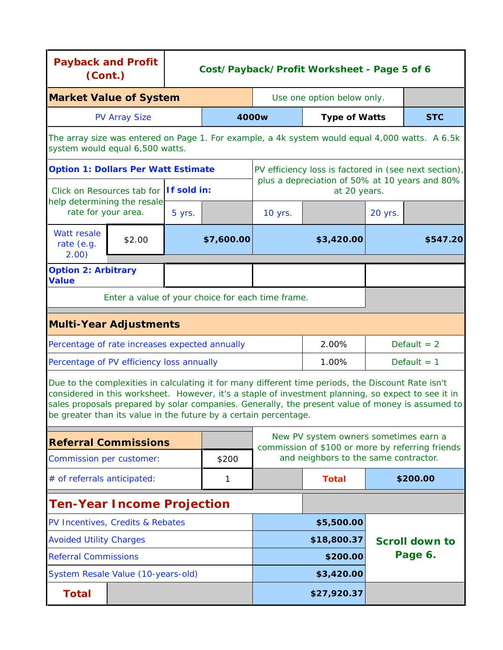| <b>Payback and Profit</b><br>(Cont.)                                                                                                                                                                                                                                                                                                                                              |                                                   | Cost/Payback/Profit Worksheet - Page 5 of 6 |             |                                                                                                                                    |                                                                |               |               |  |
|-----------------------------------------------------------------------------------------------------------------------------------------------------------------------------------------------------------------------------------------------------------------------------------------------------------------------------------------------------------------------------------|---------------------------------------------------|---------------------------------------------|-------------|------------------------------------------------------------------------------------------------------------------------------------|----------------------------------------------------------------|---------------|---------------|--|
| <b>Market Value of System</b>                                                                                                                                                                                                                                                                                                                                                     |                                                   |                                             |             | Use one option below only.                                                                                                         |                                                                |               |               |  |
| <b>PV Array Size</b>                                                                                                                                                                                                                                                                                                                                                              |                                                   |                                             | 4000w       | <b>Type of Watts</b>                                                                                                               | <b>STC</b>                                                     |               |               |  |
| system would equal 6,500 watts.                                                                                                                                                                                                                                                                                                                                                   |                                                   |                                             |             | The array size was entered on Page 1. For example, a 4k system would equal 4,000 watts. A 6.5k                                     |                                                                |               |               |  |
| <b>Option 1: Dollars Per Watt Estimate</b>                                                                                                                                                                                                                                                                                                                                        |                                                   |                                             |             |                                                                                                                                    | PV efficiency loss is factored in (see next section),          |               |               |  |
|                                                                                                                                                                                                                                                                                                                                                                                   | Click on Resources tab for If sold in:            |                                             |             |                                                                                                                                    | plus a depreciation of 50% at 10 years and 80%<br>at 20 years. |               |               |  |
| help determining the resale<br>rate for your area.                                                                                                                                                                                                                                                                                                                                |                                                   | 5 yrs.                                      |             | 10 yrs.                                                                                                                            |                                                                | 20 yrs.       |               |  |
| Watt resale<br>rate (e.g.<br>2.00)                                                                                                                                                                                                                                                                                                                                                | \$2.00                                            |                                             | \$7,600.00  |                                                                                                                                    | \$3,420.00                                                     | \$547.20      |               |  |
| <b>Option 2: Arbitrary</b><br><b>Value</b>                                                                                                                                                                                                                                                                                                                                        |                                                   |                                             |             |                                                                                                                                    |                                                                |               |               |  |
|                                                                                                                                                                                                                                                                                                                                                                                   | Enter a value of your choice for each time frame. |                                             |             |                                                                                                                                    |                                                                |               |               |  |
| <b>Multi-Year Adjustments</b>                                                                                                                                                                                                                                                                                                                                                     |                                                   |                                             |             |                                                                                                                                    |                                                                |               |               |  |
| Percentage of rate increases expected annually                                                                                                                                                                                                                                                                                                                                    |                                                   |                                             |             |                                                                                                                                    | 2.00%                                                          |               | Default $= 2$ |  |
| Percentage of PV efficiency loss annually                                                                                                                                                                                                                                                                                                                                         |                                                   |                                             |             |                                                                                                                                    | 1.00%                                                          | Default $= 1$ |               |  |
| Due to the complexities in calculating it for many different time periods, the Discount Rate isn't<br>considered in this worksheet. However, it's a staple of investment planning, so expect to see it in<br>sales proposals prepared by solar companies. Generally, the present value of money is assumed to<br>be greater than its value in the future by a certain percentage. |                                                   |                                             |             |                                                                                                                                    |                                                                |               |               |  |
| <b>Referral Commissions</b>                                                                                                                                                                                                                                                                                                                                                       |                                                   |                                             |             | New PV system owners sometimes earn a<br>commission of \$100 or more by referring friends<br>and neighbors to the same contractor. |                                                                |               |               |  |
| Commission per customer:                                                                                                                                                                                                                                                                                                                                                          |                                                   |                                             | \$200       |                                                                                                                                    |                                                                |               |               |  |
| # of referrals anticipated:                                                                                                                                                                                                                                                                                                                                                       |                                                   |                                             | 1           |                                                                                                                                    | <b>Total</b>                                                   |               | \$200.00      |  |
| <b>Ten-Year Income Projection</b>                                                                                                                                                                                                                                                                                                                                                 |                                                   |                                             |             |                                                                                                                                    |                                                                |               |               |  |
| PV Incentives, Credits & Rebates                                                                                                                                                                                                                                                                                                                                                  |                                                   |                                             |             |                                                                                                                                    | \$5,500.00                                                     |               |               |  |
| <b>Avoided Utility Charges</b>                                                                                                                                                                                                                                                                                                                                                    |                                                   |                                             | \$18,800.37 |                                                                                                                                    | <b>Scroll down to</b>                                          |               |               |  |
| <b>Referral Commissions</b>                                                                                                                                                                                                                                                                                                                                                       |                                                   |                                             |             | \$200.00                                                                                                                           |                                                                | Page 6.       |               |  |
| System Resale Value (10-years-old)                                                                                                                                                                                                                                                                                                                                                |                                                   |                                             |             |                                                                                                                                    | \$3,420.00                                                     |               |               |  |
| <b>Total</b>                                                                                                                                                                                                                                                                                                                                                                      |                                                   |                                             |             |                                                                                                                                    | \$27,920.37                                                    |               |               |  |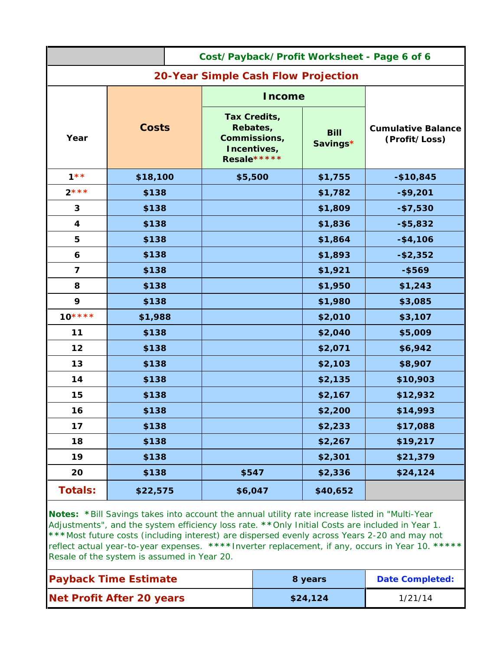| Cost/Payback/Profit Worksheet - Page 6 of 6 |                                     |  |                                                                        |                         |                                            |  |  |  |  |
|---------------------------------------------|-------------------------------------|--|------------------------------------------------------------------------|-------------------------|--------------------------------------------|--|--|--|--|
|                                             | 20-Year Simple Cash Flow Projection |  |                                                                        |                         |                                            |  |  |  |  |
|                                             |                                     |  | <b>Income</b>                                                          |                         |                                            |  |  |  |  |
| Year                                        | <b>Costs</b>                        |  | Tax Credits,<br>Rebates,<br>Commissions,<br>Incentives,<br>Resale***** | <b>Bill</b><br>Savings* | <b>Cumulative Balance</b><br>(Profit/Loss) |  |  |  |  |
| $1**$                                       | \$18,100                            |  | \$5,500                                                                | \$1,755                 | $-$10,845$                                 |  |  |  |  |
| $2***$                                      | \$138                               |  |                                                                        | \$1,782                 | $-$9,201$                                  |  |  |  |  |
| 3                                           | \$138                               |  |                                                                        | \$1,809                 | $- $7,530$                                 |  |  |  |  |
| $\boldsymbol{4}$                            | \$138                               |  |                                                                        | \$1,836                 | $- $5,832$                                 |  |  |  |  |
| 5                                           | \$138                               |  | \$1,864                                                                |                         | $-$4,106$                                  |  |  |  |  |
| 6                                           | \$138                               |  |                                                                        | \$1,893                 | $- $2,352$                                 |  |  |  |  |
| $\overline{\mathbf{z}}$                     | \$138                               |  |                                                                        | \$1,921                 | $-$ \$569                                  |  |  |  |  |
| 8                                           | \$138                               |  |                                                                        | \$1,950                 | \$1,243                                    |  |  |  |  |
| 9                                           | \$138                               |  |                                                                        | \$1,980                 | \$3,085                                    |  |  |  |  |
| $10***$                                     | \$1,988                             |  |                                                                        | \$2,010                 | \$3,107                                    |  |  |  |  |
| 11                                          | \$138                               |  |                                                                        | \$2,040                 | \$5,009                                    |  |  |  |  |
| 12                                          | \$138                               |  |                                                                        | \$2,071                 | \$6,942                                    |  |  |  |  |
| 13                                          | \$138                               |  |                                                                        | \$2,103                 | \$8,907                                    |  |  |  |  |
| 14                                          | \$138                               |  |                                                                        | \$2,135                 | \$10,903                                   |  |  |  |  |
| 15                                          | \$138                               |  |                                                                        | \$2,167                 | \$12,932                                   |  |  |  |  |
| 16                                          | \$138                               |  |                                                                        | \$2,200                 | \$14,993                                   |  |  |  |  |
| 17                                          | \$138                               |  |                                                                        | \$2,233                 | \$17,088                                   |  |  |  |  |
| 18                                          | \$138                               |  |                                                                        | \$2,267                 | \$19,217                                   |  |  |  |  |
| 19                                          | \$138                               |  |                                                                        | \$2,301                 | \$21,379                                   |  |  |  |  |
| 20                                          | \$138                               |  | \$547                                                                  | \$2,336                 | \$24,124                                   |  |  |  |  |
| <b>Totals:</b>                              | \$22,575                            |  | \$6,047                                                                | \$40,652                |                                            |  |  |  |  |

*Notes: \*Bill Savings takes into account the annual utility rate increase listed in "Multi-Year Adjustments", and the system efficiency loss rate. \*\*Only Initial Costs are included in Year 1. \*\*\*Most future costs (including interest) are dispersed evenly across Years 2-20 and may not reflect actual year-to-year expenses. \*\*\*\*Inverter replacement, if any, occurs in Year 10. \*\*\*\*\* Resale of the system is assumed in Year 20.*

| <b>Payback Time Estimate</b>     | 8 years  | <b>Date Completed:</b> |
|----------------------------------|----------|------------------------|
| <b>Net Profit After 20 years</b> | \$24,124 | 1/21/14                |